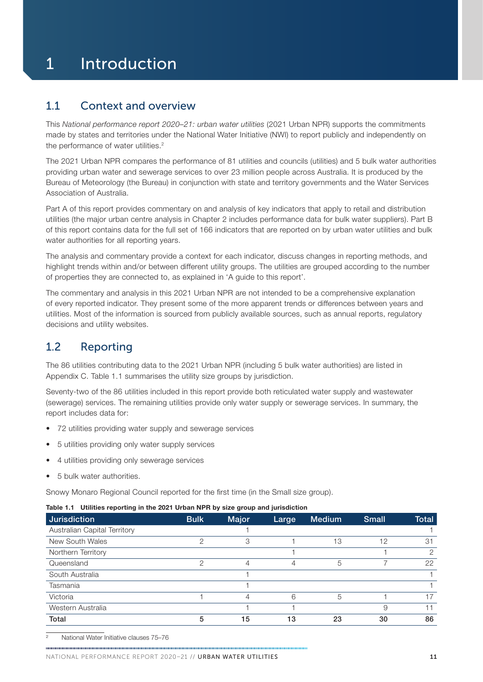# 1 Introduction

### 1.1 Context and overview

This *National performance report 2020–21: urban water utilities* (2021 Urban NPR) supports the commitments made by states and territories under the National Water Initiative (NWI) to report publicly and independently on the performance of water utilities.<sup>2</sup>

The 2021 Urban NPR compares the performance of 81 utilities and councils (utilities) and 5 bulk water authorities providing urban water and sewerage services to over 23 million people across Australia. It is produced by the Bureau of Meteorology (the Bureau) in conjunction with state and territory governments and the Water Services Association of Australia.

Part A of this report provides commentary on and analysis of key indicators that apply to retail and distribution utilities (the major urban centre analysis in [Chapter 2](#page--1-0) includes performance data for bulk water suppliers). Part B of this report contains data for the full set of 166 indicators that are reported on by urban water utilities and bulk water authorities for all reporting years.

The analysis and commentary provide a context for each indicator, discuss changes in reporting methods, and highlight trends within and/or between different utility groups. The utilities are grouped according to the number of properties they are connected to, as explained in 'A guide to this report'.

The commentary and analysis in this 2021 Urban NPR are not intended to be a comprehensive explanation of every reported indicator. They present some of the more apparent trends or differences between years and utilities. Most of the information is sourced from publicly available sources, such as annual reports, regulatory decisions and utility websites.

## 1.2 Reporting

The 86 utilities contributing data to the 2021 Urban NPR (including 5 bulk water authorities) are listed in [Appendix C.](#page--1-0) Table 1.1 summarises the utility size groups by jurisdiction.

Seventy-two of the 86 utilities included in this report provide both reticulated water supply and wastewater (sewerage) services. The remaining utilities provide only water supply or sewerage services. In summary, the report includes data for:

- 72 utilities providing water supply and sewerage services
- 5 utilities providing only water supply services
- 4 utilities providing only sewerage services
- 5 bulk water authorities.

Snowy Monaro Regional Council reported for the first time (in the Small size group).

#### Table 1.1 Utilities reporting in the 2021 Urban NPR by size group and jurisdiction

| <b>Jurisdiction</b>          | <b>Bulk</b> | <b>Major</b>   | Large | <b>Medium</b> | <b>Small</b> | <b>Total</b>  |
|------------------------------|-------------|----------------|-------|---------------|--------------|---------------|
| Australian Capital Territory |             |                |       |               |              |               |
| New South Wales              | っ           | 3              |       | 13            | 12           | 31            |
| Northern Territory           |             |                |       |               |              | $\mathcal{P}$ |
| Queensland                   | ◠           | 4              | 4     | 5             |              | 22            |
| South Australia              |             |                |       |               |              |               |
| Tasmania                     |             |                |       |               |              |               |
| Victoria                     |             | $\overline{4}$ | 6     | 5             |              | 17            |
| Western Australia            |             |                |       |               |              | 11            |
| Total                        | 5           | 15             | 13    | 23            | 30           | 86            |

2 National Water Initiative clauses 75–76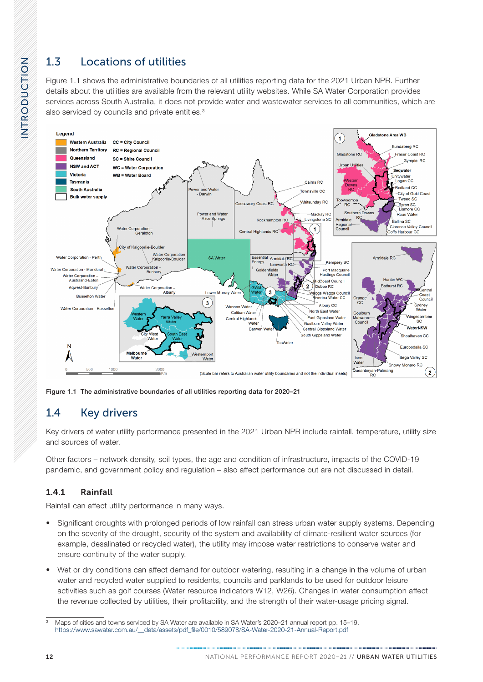# 1.3 Locations of utilities

Figure 1.1 shows the administrative boundaries of all utilities reporting data for the 2021 Urban NPR. Further details about the utilities are available from the relevant utility websites. While SA Water Corporation provides services across South Australia, it does not provide water and wastewater services to all communities, which are also serviced by councils and private entities.<sup>3</sup>



Figure 1.1 The administrative boundaries of all utilities reporting data for 2020–21

# 1.4 Key drivers

Key drivers of water utility performance presented in the 2021 Urban NPR include rainfall, temperature, utility size and sources of water.

Other factors – network density, soil types, the age and condition of infrastructure, impacts of the COVID-19 pandemic, and government policy and regulation – also affect performance but are not discussed in detail.

### 1.4.1 Rainfall

Rainfall can affect utility performance in many ways.

- Significant droughts with prolonged periods of low rainfall can stress urban water supply systems. Depending on the severity of the drought, security of the system and availability of climate-resilient water sources (for example, desalinated or recycled water), the utility may impose water restrictions to conserve water and ensure continuity of the water supply.
- Wet or dry conditions can affect demand for outdoor watering, resulting in a change in the volume of urban water and recycled water supplied to residents, councils and parklands to be used for outdoor leisure activities such as golf courses (Water resource indicators W12, W26). Changes in water consumption affect the revenue collected by utilities, their profitability, and the strength of their water-usage pricing signal.

<sup>3</sup> Maps of cities and towns serviced by SA Water are available in SA Water's 2020–21 annual report pp. 15–19. [https://www.sawater.com.au/\\_\\_data/assets/pdf\\_file/0010/589078/SA-Water-2020-21-Annual-Report.pdf](https://www.sawater.com.au/__data/assets/pdf_file/0010/589078/SA-Water-2020-21-Annual-Report.pdf)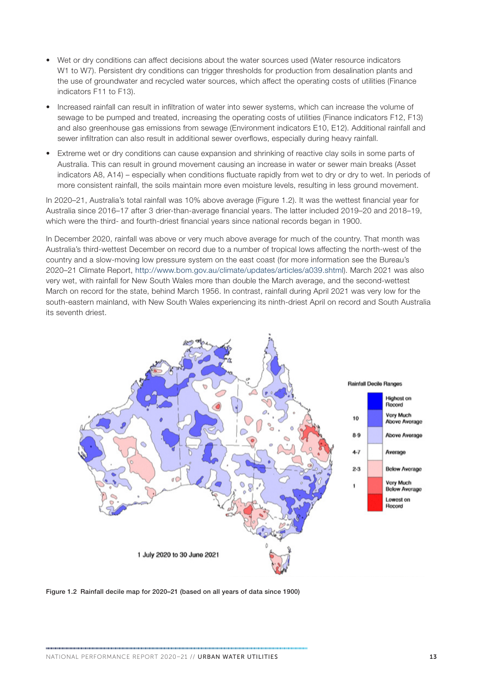- Wet or dry conditions can affect decisions about the water sources used (Water resource indicators W1 to W7). Persistent dry conditions can trigger thresholds for production from desalination plants and the use of groundwater and recycled water sources, which affect the operating costs of utilities (Finance indicators F11 to F13).
- Increased rainfall can result in infiltration of water into sewer systems, which can increase the volume of sewage to be pumped and treated, increasing the operating costs of utilities (Finance indicators F12, F13) and also greenhouse gas emissions from sewage (Environment indicators E10, E12). Additional rainfall and sewer infiltration can also result in additional sewer overflows, especially during heavy rainfall.
- Extreme wet or dry conditions can cause expansion and shrinking of reactive clay soils in some parts of Australia. This can result in ground movement causing an increase in water or sewer main breaks (Asset indicators A8, A14) – especially when conditions fluctuate rapidly from wet to dry or dry to wet. In periods of more consistent rainfall, the soils maintain more even moisture levels, resulting in less ground movement.

In 2020–21, Australia's total rainfall was 10% above average (Figure 1.2). It was the wettest financial year for Australia since 2016–17 after 3 drier-than-average financial years. The latter included 2019–20 and 2018–19, which were the third- and fourth-driest financial years since national records began in 1900.

In December 2020, rainfall was above or very much above average for much of the country. That month was Australia's third-wettest December on record due to a number of tropical lows affecting the north-west of the country and a slow-moving low pressure system on the east coast (for more information see the Bureau's 2020–21 Climate Report, <http://www.bom.gov.au/climate/updates/articles/a039.shtml>). March 2021 was also very wet, with rainfall for New South Wales more than double the March average, and the second-wettest March on record for the state, behind March 1956. In contrast, rainfall during April 2021 was very low for the south-eastern mainland, with New South Wales experiencing its ninth-driest April on record and South Australia its seventh driest.



Figure 1.2 Rainfall decile map for 2020–21 (based on all years of data since 1900)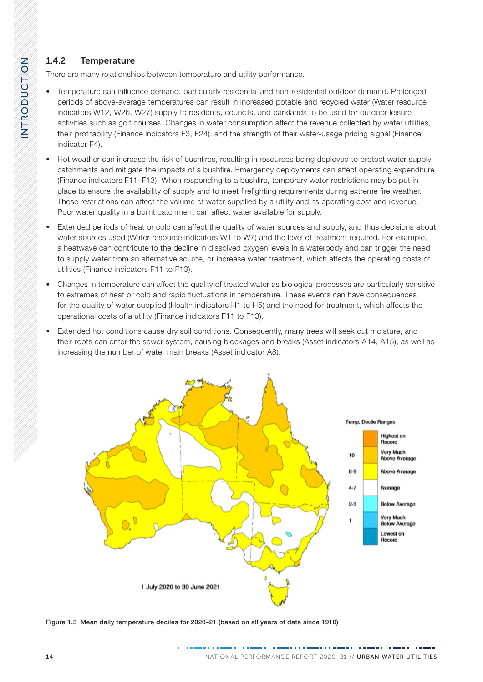### <span id="page-3-0"></span>1.4.2 Temperature

There are many relationships between temperature and utility performance.

- Temperature can influence demand, particularly residential and non-residential outdoor demand. Prolonged periods of above-average temperatures can result in increased potable and recycled water (Water resource indicators W12, W26, W27) supply to residents, councils, and parklands to be used for outdoor leisure activities such as golf courses. Changes in water consumption affect the revenue collected by water utilities, their profitability (Finance indicators F3, F24), and the strength of their water-usage pricing signal (Finance indicator F4).
- Hot weather can increase the risk of bushfires, resulting in resources being deployed to protect water supply catchments and mitigate the impacts of a bushfire. Emergency deployments can affect operating expenditure (Finance indicators F11–F13). When responding to a bushfire, temporary water restrictions may be put in place to ensure the availability of supply and to meet firefighting requirements during extreme fire weather. These restrictions can affect the volume of water supplied by a utility and its operating cost and revenue. Poor water quality in a burnt catchment can affect water available for supply.
- Extended periods of heat or cold can affect the quality of water sources and supply, and thus decisions about water sources used (Water resource indicators W1 to W7) and the level of treatment required. For example, a heatwave can contribute to the decline in dissolved oxygen levels in a waterbody and can trigger the need to supply water from an alternative source, or increase water treatment, which affects the operating costs of utilities (Finance indicators F11 to F13).
- Changes in temperature can affect the quality of treated water as biological processes are particularly sensitive to extremes of heat or cold and rapid fluctuations in temperature. These events can have consequences for the quality of water supplied (Health indicators H1 to H5) and the need for treatment, which affects the operational costs of a utility (Finance indicators F11 to F13).
- Extended hot conditions cause dry soil conditions. Consequently, many trees will seek out moisture, and their roots can enter the sewer system, causing blockages and breaks (Asset indicators A14, A15), as well as increasing the number of water main breaks (Asset indicator A8).



Figure 1.3 Mean daily temperature deciles for 2020–21 (based on all years of data since 1910)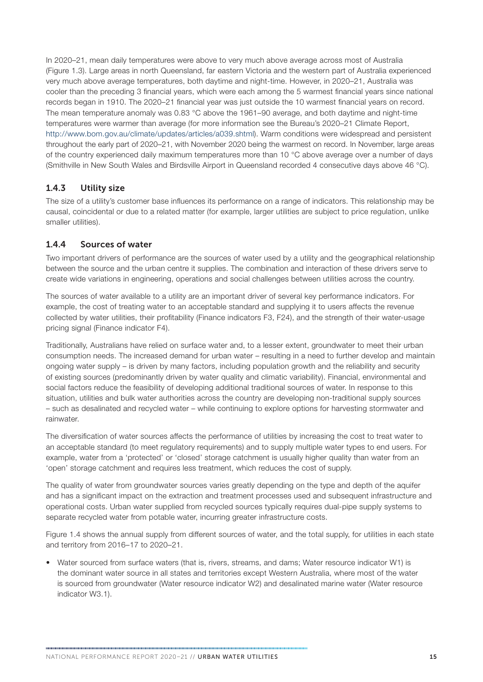In 2020–21, mean daily temperatures were above to very much above average across most of Australia ([Figure 1.3\)](#page-3-0). Large areas in north Queensland, far eastern Victoria and the western part of Australia experienced very much above average temperatures, both daytime and night-time. However, in 2020–21, Australia was cooler than the preceding 3 financial years, which were each among the 5 warmest financial years since national records began in 1910. The 2020–21 financial year was just outside the 10 warmest financial years on record. The mean temperature anomaly was 0.83 °C above the 1961–90 average, and both daytime and night-time temperatures were warmer than average (for more information see the Bureau's 2020–21 Climate Report, <http://www.bom.gov.au/climate/updates/articles/a039.shtml>). Warm conditions were widespread and persistent throughout the early part of 2020–21, with November 2020 being the warmest on record. In November, large areas of the country experienced daily maximum temperatures more than 10 °C above average over a number of days (Smithville in New South Wales and Birdsville Airport in Queensland recorded 4 consecutive days above 46 °C).

#### 1.4.3 Utility size

The size of a utility's customer base influences its performance on a range of indicators. This relationship may be causal, coincidental or due to a related matter (for example, larger utilities are subject to price regulation, unlike smaller utilities).

#### 1.4.4 Sources of water

Two important drivers of performance are the sources of water used by a utility and the geographical relationship between the source and the urban centre it supplies. The combination and interaction of these drivers serve to create wide variations in engineering, operations and social challenges between utilities across the country.

The sources of water available to a utility are an important driver of several key performance indicators. For example, the cost of treating water to an acceptable standard and supplying it to users affects the revenue collected by water utilities, their profitability (Finance indicators F3, F24), and the strength of their water-usage pricing signal (Finance indicator F4).

Traditionally, Australians have relied on surface water and, to a lesser extent, groundwater to meet their urban consumption needs. The increased demand for urban water – resulting in a need to further develop and maintain ongoing water supply – is driven by many factors, including population growth and the reliability and security of existing sources (predominantly driven by water quality and climatic variability). Financial, environmental and social factors reduce the feasibility of developing additional traditional sources of water. In response to this situation, utilities and bulk water authorities across the country are developing non-traditional supply sources – such as desalinated and recycled water – while continuing to explore options for harvesting stormwater and rainwater.

The diversification of water sources affects the performance of utilities by increasing the cost to treat water to an acceptable standard (to meet regulatory requirements) and to supply multiple water types to end users. For example, water from a 'protected' or 'closed' storage catchment is usually higher quality than water from an 'open' storage catchment and requires less treatment, which reduces the cost of supply.

The quality of water from groundwater sources varies greatly depending on the type and depth of the aquifer and has a significant impact on the extraction and treatment processes used and subsequent infrastructure and operational costs. Urban water supplied from recycled sources typically requires dual-pipe supply systems to separate recycled water from potable water, incurring greater infrastructure costs.

[Figure 1.4](#page-5-0) shows the annual supply from different sources of water, and the total supply, for utilities in each state and territory from 2016–17 to 2020–21.

• Water sourced from surface waters (that is, rivers, streams, and dams; Water resource indicator W1) is the dominant water source in all states and territories except Western Australia, where most of the water is sourced from groundwater (Water resource indicator W2) and desalinated marine water (Water resource indicator W3.1).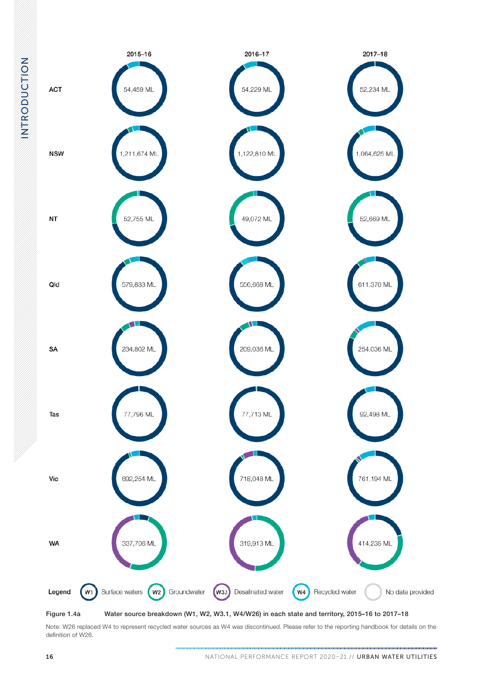<span id="page-5-0"></span>

Note: W26 replaced W4 to represent recycled water sources as W4 was discontinued. Please refer to the reporting handbook for details on the definition of W26.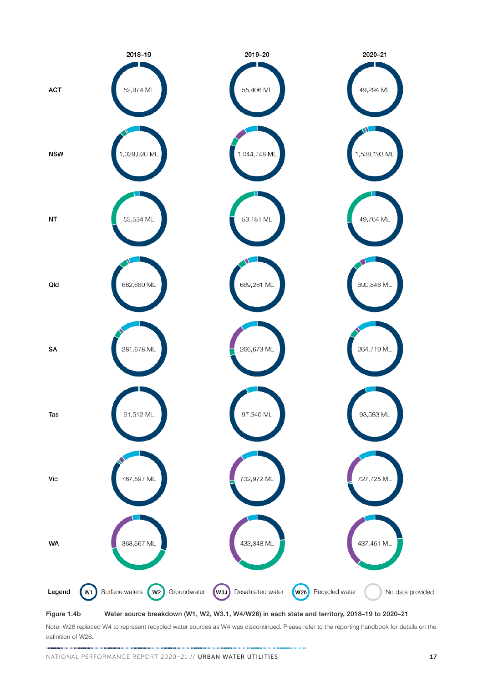

Note: W26 replaced W4 to represent recycled water sources as W4 was discontinued. Please refer to the reporting handbook for details on the definition of W26.